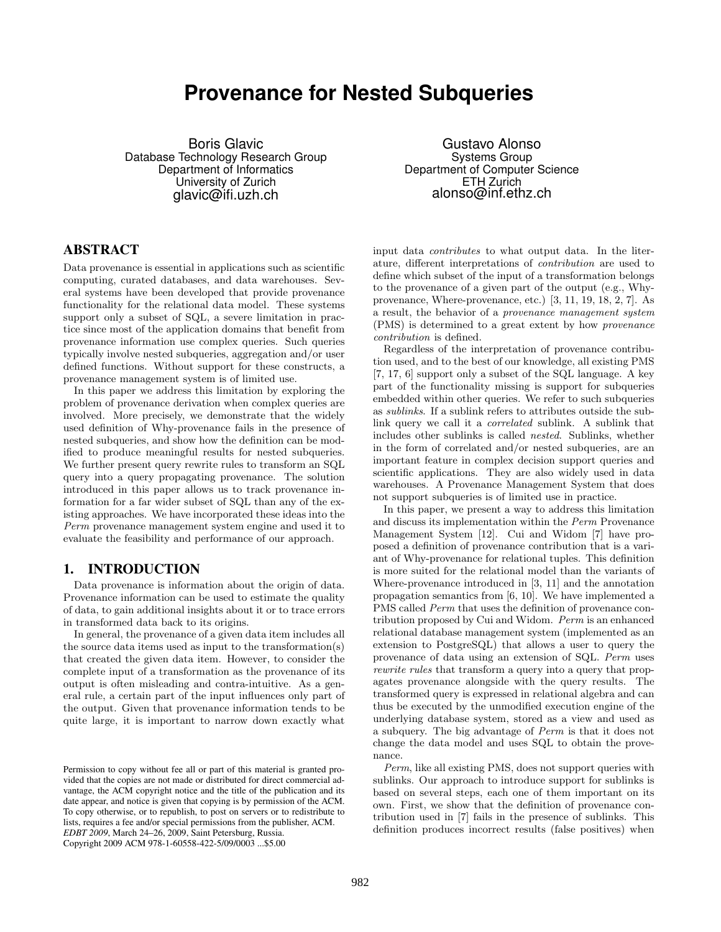# **Provenance for Nested Subqueries**

Boris Glavic Database Technology Research Group Department of Informatics University of Zurich glavic@ifi.uzh.ch

Gustavo Alonso Systems Group Department of Computer Science ETH Zurich alonso@inf.ethz.ch

# ABSTRACT

Data provenance is essential in applications such as scientific computing, curated databases, and data warehouses. Several systems have been developed that provide provenance functionality for the relational data model. These systems support only a subset of SQL, a severe limitation in practice since most of the application domains that benefit from provenance information use complex queries. Such queries typically involve nested subqueries, aggregation and/or user defined functions. Without support for these constructs, a provenance management system is of limited use.

In this paper we address this limitation by exploring the problem of provenance derivation when complex queries are involved. More precisely, we demonstrate that the widely used definition of Why-provenance fails in the presence of nested subqueries, and show how the definition can be modified to produce meaningful results for nested subqueries. We further present query rewrite rules to transform an SQL query into a query propagating provenance. The solution introduced in this paper allows us to track provenance information for a far wider subset of SQL than any of the existing approaches. We have incorporated these ideas into the Perm provenance management system engine and used it to evaluate the feasibility and performance of our approach.

# 1. INTRODUCTION

Data provenance is information about the origin of data. Provenance information can be used to estimate the quality of data, to gain additional insights about it or to trace errors in transformed data back to its origins.

In general, the provenance of a given data item includes all the source data items used as input to the transformation(s) that created the given data item. However, to consider the complete input of a transformation as the provenance of its output is often misleading and contra-intuitive. As a general rule, a certain part of the input influences only part of the output. Given that provenance information tends to be quite large, it is important to narrow down exactly what

input data contributes to what output data. In the literature, different interpretations of contribution are used to define which subset of the input of a transformation belongs to the provenance of a given part of the output (e.g., Whyprovenance, Where-provenance, etc.) [3, 11, 19, 18, 2, 7]. As a result, the behavior of a provenance management system (PMS) is determined to a great extent by how provenance contribution is defined.

Regardless of the interpretation of provenance contribution used, and to the best of our knowledge, all existing PMS [7, 17, 6] support only a subset of the SQL language. A key part of the functionality missing is support for subqueries embedded within other queries. We refer to such subqueries as sublinks. If a sublink refers to attributes outside the sublink query we call it a correlated sublink. A sublink that includes other sublinks is called nested. Sublinks, whether in the form of correlated and/or nested subqueries, are an important feature in complex decision support queries and scientific applications. They are also widely used in data warehouses. A Provenance Management System that does not support subqueries is of limited use in practice.

In this paper, we present a way to address this limitation and discuss its implementation within the Perm Provenance Management System [12]. Cui and Widom [7] have proposed a definition of provenance contribution that is a variant of Why-provenance for relational tuples. This definition is more suited for the relational model than the variants of Where-provenance introduced in [3, 11] and the annotation propagation semantics from [6, 10]. We have implemented a PMS called Perm that uses the definition of provenance contribution proposed by Cui and Widom. Perm is an enhanced relational database management system (implemented as an extension to PostgreSQL) that allows a user to query the provenance of data using an extension of SQL. Perm uses rewrite rules that transform a query into a query that propagates provenance alongside with the query results. The transformed query is expressed in relational algebra and can thus be executed by the unmodified execution engine of the underlying database system, stored as a view and used as a subquery. The big advantage of Perm is that it does not change the data model and uses SQL to obtain the provenance.

Perm, like all existing PMS, does not support queries with sublinks. Our approach to introduce support for sublinks is based on several steps, each one of them important on its own. First, we show that the definition of provenance contribution used in [7] fails in the presence of sublinks. This definition produces incorrect results (false positives) when

Permission to copy without fee all or part of this material is granted provided that the copies are not made or distributed for direct commercial advantage, the ACM copyright notice and the title of the publication and its date appear, and notice is given that copying is by permission of the ACM. To copy otherwise, or to republish, to post on servers or to redistribute to lists, requires a fee and/or special permissions from the publisher, ACM. *EDBT 2009*, March 24–26, 2009, Saint Petersburg, Russia. Copyright 2009 ACM 978-1-60558-422-5/09/0003 ...\$5.00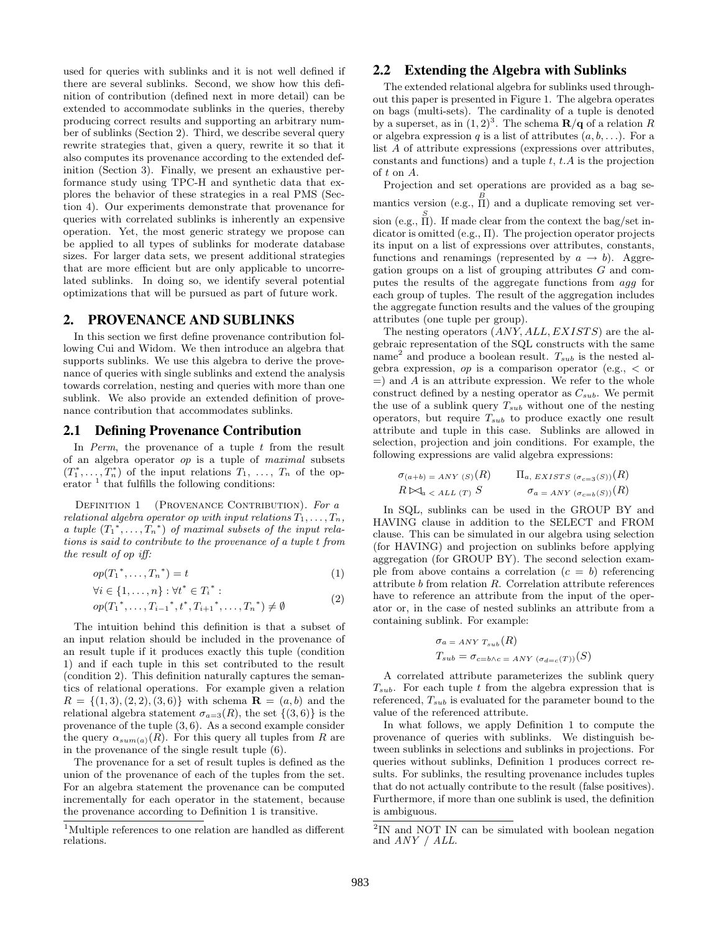used for queries with sublinks and it is not well defined if there are several sublinks. Second, we show how this definition of contribution (defined next in more detail) can be extended to accommodate sublinks in the queries, thereby producing correct results and supporting an arbitrary number of sublinks (Section 2). Third, we describe several query rewrite strategies that, given a query, rewrite it so that it also computes its provenance according to the extended definition (Section 3). Finally, we present an exhaustive performance study using TPC-H and synthetic data that explores the behavior of these strategies in a real PMS (Section 4). Our experiments demonstrate that provenance for queries with correlated sublinks is inherently an expensive operation. Yet, the most generic strategy we propose can be applied to all types of sublinks for moderate database sizes. For larger data sets, we present additional strategies that are more efficient but are only applicable to uncorrelated sublinks. In doing so, we identify several potential optimizations that will be pursued as part of future work.

## 2. PROVENANCE AND SUBLINKS

In this section we first define provenance contribution following Cui and Widom. We then introduce an algebra that supports sublinks. We use this algebra to derive the provenance of queries with single sublinks and extend the analysis towards correlation, nesting and queries with more than one sublink. We also provide an extended definition of provenance contribution that accommodates sublinks.

#### 2.1 Defining Provenance Contribution

In Perm, the provenance of a tuple  $t$  from the result of an algebra operator op is a tuple of maximal subsets  $(T_1^*, \ldots, T_n^*)$  of the input relations  $T_1, \ldots, T_n$  of the operator  $\frac{1}{1}$  that fulfills the following conditions:

DEFINITION 1 (PROVENANCE CONTRIBUTION). For a relational algebra operator op with input relations  $T_1, \ldots, T_n$ , a tuple  $(T_1^*,...,T_n^*)$  of maximal subsets of the input relations is said to contribute to the provenance of a tuple t from the result of op iff:

$$
op(T_1^*,\ldots,T_n^*)=t
$$
\n<sup>(1)</sup>

$$
\forall i \in \{1, ..., n\} : \forall t^* \in T_i^* :
$$
  

$$
op(T_1^*, ..., T_{i-1}^*, t^*, T_{i+1}^*, ..., T_n^*) \neq \emptyset
$$
 (2)

The intuition behind this definition is that a subset of an input relation should be included in the provenance of an result tuple if it produces exactly this tuple (condition 1) and if each tuple in this set contributed to the result (condition 2). This definition naturally captures the semantics of relational operations. For example given a relation  $R = \{(1,3), (2,2), (3,6)\}\$  with schema  $\mathbf{R} = (a, b)$  and the relational algebra statement  $\sigma_{a=3}(R)$ , the set  $\{(3,6)\}\$ is the provenance of the tuple  $(3, 6)$ . As a second example consider the query  $\alpha_{sum(a)}(R)$ . For this query all tuples from R are in the provenance of the single result tuple (6).

The provenance for a set of result tuples is defined as the union of the provenance of each of the tuples from the set. For an algebra statement the provenance can be computed incrementally for each operator in the statement, because the provenance according to Definition 1 is transitive.

# 2.2 Extending the Algebra with Sublinks

The extended relational algebra for sublinks used throughout this paper is presented in Figure 1. The algebra operates on bags (multi-sets). The cardinality of a tuple is denoted by a superset, as in  $(1,2)^3$ . The schema  $\mathbf{R}/\mathbf{q}$  of a relation R or algebra expression q is a list of attributes  $(a, b, \ldots)$ . For a list A of attribute expressions (expressions over attributes, constants and functions) and a tuple  $t$ ,  $t.A$  is the projection of t on A.

Projection and set operations are provided as a bag semantics version (e.g.,  $\prod_{i=1}^{B}$ ) and a duplicate removing set version (e.g.,  $\prod_{i=1}^{S}$ ). If made clear from the context the bag/set indicator is omitted (e.g., Π). The projection operator projects its input on a list of expressions over attributes, constants, functions and renamings (represented by  $a \rightarrow b$ ). Aggregation groups on a list of grouping attributes  $G$  and computes the results of the aggregate functions from agg for each group of tuples. The result of the aggregation includes the aggregate function results and the values of the grouping attributes (one tuple per group).

The nesting operators  $(ANY, ALL, EXISTS)$  are the algebraic representation of the SQL constructs with the same name<sup>2</sup> and produce a boolean result.  $T_{sub}$  is the nested algebra expression, *op* is a comparison operator (e.g.,  $\langle$  or  $=$ ) and A is an attribute expression. We refer to the whole construct defined by a nesting operator as  $C_{sub}$ . We permit the use of a sublink query  $T_{sub}$  without one of the nesting operators, but require  $T_{sub}$  to produce exactly one result attribute and tuple in this case. Sublinks are allowed in selection, projection and join conditions. For example, the following expressions are valid algebra expressions:

$$
\sigma_{(a+b)} = \text{ANY}(s)(R) \qquad \Pi_{a, \; EXISTS} (\sigma_{c=3}(s)) (R)
$$
  

$$
R \bowtie_{a < ALL(T)} S \qquad \sigma_{a = ANY} (\sigma_{c=b}(s)) (R)
$$

In SQL, sublinks can be used in the GROUP BY and HAVING clause in addition to the SELECT and FROM clause. This can be simulated in our algebra using selection (for HAVING) and projection on sublinks before applying aggregation (for GROUP BY). The second selection example from above contains a correlation  $(c = b)$  referencing attribute  $b$  from relation  $R$ . Correlation attribute references have to reference an attribute from the input of the operator or, in the case of nested sublinks an attribute from a containing sublink. For example:

$$
\sigma_a = \text{ANY } T_{sub}(R)
$$
  

$$
T_{sub} = \sigma_{c=b \land c} = \text{ANY } (\sigma_{d=c}(T))(S)
$$

A correlated attribute parameterizes the sublink query  $T_{sub}$ . For each tuple t from the algebra expression that is referenced,  $T_{sub}$  is evaluated for the parameter bound to the value of the referenced attribute.

In what follows, we apply Definition 1 to compute the provenance of queries with sublinks. We distinguish between sublinks in selections and sublinks in projections. For queries without sublinks, Definition 1 produces correct results. For sublinks, the resulting provenance includes tuples that do not actually contribute to the result (false positives). Furthermore, if more than one sublink is used, the definition is ambiguous.

<sup>&</sup>lt;sup>1</sup>Multiple references to one relation are handled as different relations.

<sup>&</sup>lt;sup>2</sup>IN and NOT IN can be simulated with boolean negation and ANY / ALL.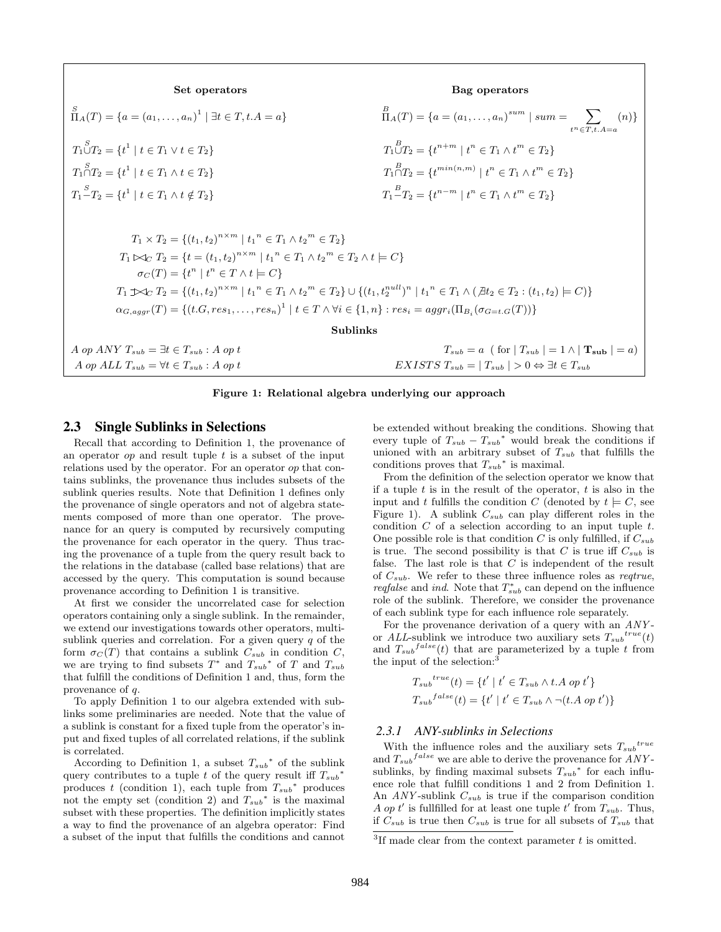Set operators Bag operators



Figure 1: Relational algebra underlying our approach

## 2.3 Single Sublinks in Selections

Recall that according to Definition 1, the provenance of an operator  $op$  and result tuple t is a subset of the input relations used by the operator. For an operator op that contains sublinks, the provenance thus includes subsets of the sublink queries results. Note that Definition 1 defines only the provenance of single operators and not of algebra statements composed of more than one operator. The provenance for an query is computed by recursively computing the provenance for each operator in the query. Thus tracing the provenance of a tuple from the query result back to the relations in the database (called base relations) that are accessed by the query. This computation is sound because provenance according to Definition 1 is transitive.

At first we consider the uncorrelated case for selection operators containing only a single sublink. In the remainder, we extend our investigations towards other operators, multisublink queries and correlation. For a given query  $q$  of the form  $\sigma_C(T)$  that contains a sublink  $C_{sub}$  in condition  $C$ , we are trying to find subsets  $T^*$  and  $T_{sub}^*$  of  $T$  and  $T_{sub}$ that fulfill the conditions of Definition 1 and, thus, form the provenance of q.

To apply Definition 1 to our algebra extended with sublinks some preliminaries are needed. Note that the value of a sublink is constant for a fixed tuple from the operator's input and fixed tuples of all correlated relations, if the sublink is correlated.

According to Definition 1, a subset  $T_{sub}^*$  of the sublink query contributes to a tuple t of the query result iff  $T_{sub}^*$ produces t (condition 1), each tuple from  $T_{sub}^*$  produces not the empty set (condition 2) and  $T_{sub}^*$  is the maximal subset with these properties. The definition implicitly states a way to find the provenance of an algebra operator: Find a subset of the input that fulfills the conditions and cannot

be extended without breaking the conditions. Showing that every tuple of  $T_{sub} - T_{sub}^*$  would break the conditions if unioned with an arbitrary subset of  $T_{sub}$  that fulfills the conditions proves that  $T_{sub}^*$  is maximal.

From the definition of the selection operator we know that if a tuple  $t$  is in the result of the operator,  $t$  is also in the input and t fulfills the condition C (denoted by  $t \models C$ , see Figure 1). A sublink  $C_{sub}$  can play different roles in the condition  $C$  of a selection according to an input tuple  $t$ . One possible role is that condition C is only fulfilled, if  $C_{sub}$ is true. The second possibility is that C is true iff  $C_{sub}$  is false. The last role is that  $C$  is independent of the result of  $C_{sub}$ . We refer to these three influence roles as reqtrue, *reqfalse* and *ind*. Note that  $T_{sub}^{*}$  can depend on the influence role of the sublink. Therefore, we consider the provenance of each sublink type for each influence role separately.

For the provenance derivation of a query with an ANYor ALL-sublink we introduce two auxiliary sets  $T_{sub}^{true}(t)$ and  $T_{sub}^{false}(t)$  that are parameterized by a tuple t from the input of the selection:<sup>3</sup>

$$
T_{sub}^{true}(t) = \{t' \mid t' \in T_{sub} \land t.A \text{ op } t'\}
$$

$$
T_{sub}^{false}(t) = \{t' \mid t' \in T_{sub} \land \neg(t.A \text{ op } t')\}
$$

## *2.3.1 ANY-sublinks in Selections*

With the influence roles and the auxiliary sets  $T_{sub}^{true}$ and  $T_{sub}^{false}$  we are able to derive the provenance for  $ANY$ sublinks, by finding maximal subsets  $T_{sub}^*$  for each influence role that fulfill conditions 1 and 2 from Definition 1. An  $ANY$ -sublink  $C_{sub}$  is true if the comparison condition A op t' is fullfilled for at least one tuple t' from  $T_{sub}$ . Thus, if  $C_{sub}$  is true then  $C_{sub}$  is true for all subsets of  $T_{sub}$  that

<sup>&</sup>lt;sup>3</sup>If made clear from the context parameter  $t$  is omitted.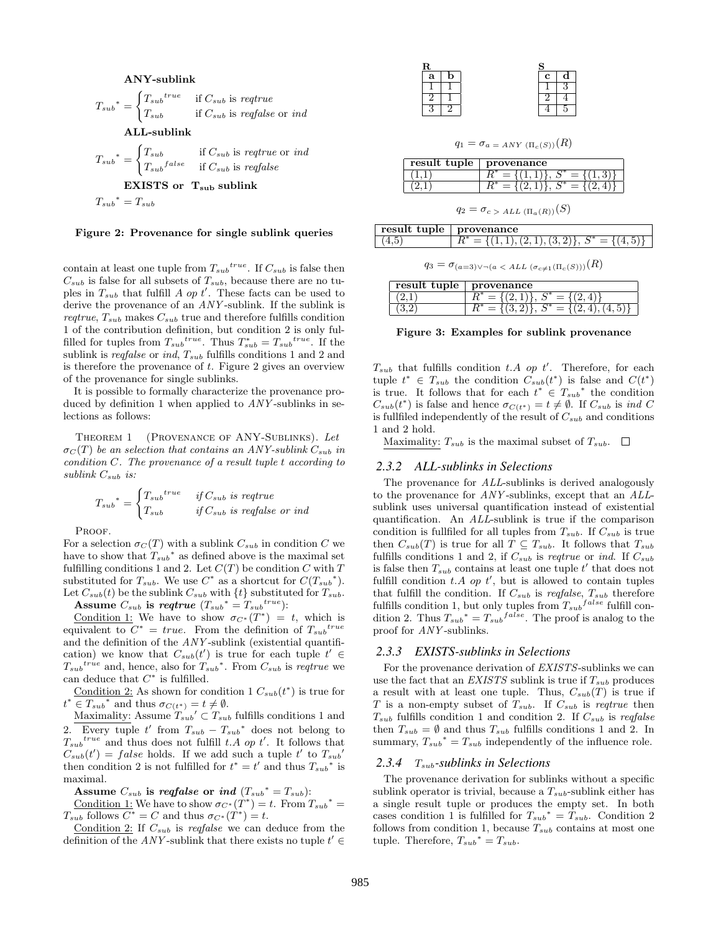#### ANY-sublink

$$
T_{sub}^* = \begin{cases} T_{sub}^{true} & \text{if } C_{sub} \text{ is } require \\ T_{sub} & \text{if } C_{sub} \text{ is } reflex \text{ or } ind \end{cases}
$$

ALL-sublink

 $T_{sub}^* = \begin{cases} T_{sub} & \text{if } C_{sub} \text{ is } \text{ require or } \text{ind} \\ T_{sub} & \text{if } C \leq r \end{cases}$  $T_{sub}^{false}$  if  $C_{sub}$  is regfalse

EXISTS or  $T_{sub}$  sublink

$$
T_{sub}{}^* = T_{sub}
$$

#### Figure 2: Provenance for single sublink queries

contain at least one tuple from  $T_{sub}^{true}$ . If  $C_{sub}$  is false then  $C_{sub}$  is false for all subsets of  $T_{sub}$ , because there are no tuples in  $T_{sub}$  that fulfill A op t'. These facts can be used to derive the provenance of an ANY -sublink. If the sublink is *reqtrue,*  $T_{sub}$  makes  $C_{sub}$  true and therefore fulfills condition 1 of the contribution definition, but condition 2 is only fulfilled for tuples from  $T_{sub}^{true}$ . Thus  $T_{sub}^{*} = T_{sub}^{true}$ . If the sublink is *reqfalse* or *ind*,  $T_{sub}$  fulfills conditions 1 and 2 and is therefore the provenance of  $t$ . Figure 2 gives an overview of the provenance for single sublinks.

It is possible to formally characterize the provenance produced by definition 1 when applied to ANY -sublinks in selections as follows:

THEOREM 1 (PROVENANCE OF ANY-SUBLINKS). Let  $\sigma_C(T)$  be an selection that contains an ANY-sublink  $C_{sub}$  in condition C. The provenance of a result tuple t according to sublink  $C_{sub}$  is:

$$
T_{sub}^* = \begin{cases} T_{sub}^{true} & if C_{sub} \text{ is require} \\ T_{sub} & if C_{sub} \text{ is reflex or ind} \end{cases}
$$

PROOF.

For a selection  $\sigma_C(T)$  with a sublink  $C_{sub}$  in condition C we have to show that  $T_{sub}^*$  as defined above is the maximal set fulfilling conditions 1 and 2. Let  $C(T)$  be condition C with T substituted for  $T_{sub}$ . We use  $C^*$  as a shortcut for  $C(T_{sub}^*)$ . Let  $C_{sub}(t)$  be the sublink  $C_{sub}$  with  $\{t\}$  substituted for  $T_{sub}$ .

Assume  $C_{sub}$  is reqtrue  $(T_{sub}^* = T_{sub}^{true})$ :

Condition 1: We have to show  $\sigma_{C^*}(T^*) = t$ , which is equivalent to  $C^* = true$ . From the definition of  $T_{sub}^{true}$ and the definition of the ANY -sublink (existential quantification) we know that  $C_{sub}(t')$  is true for each tuple  $t' \in$  $T_{sub}^{true}$  and, hence, also for  $T_{sub}^*$ . From  $C_{sub}$  is reqtrue we can deduce that  $C^*$  is fulfilled.

Condition 2: As shown for condition 1  $C_{sub}(t^*)$  is true for  $t^* \in T_{sub}^*$  and thus  $\sigma_{C(t^*)} = t \neq \emptyset$ .

Maximality: Assume  $T_{sub}' \subset T_{sub}$  fulfills conditions 1 and 2. Every tuple t' from  $T_{sub} - T_{sub}^*$  does not belong to  $T_{sub}^{true}$  and thus does not fulfill t.A op t'. It follows that  $C_{sub}(t') = false$  holds. If we add such a tuple t' to  $T_{sub}$ <sup>'</sup> then condition 2 is not fulfilled for  $t^* = t'$  and thus  $T_{sub}^*$  is maximal.

Assume  $C_{sub}$  is regfalse or ind  $(T_{sub}^* = T_{sub})$ :

Condition 1: We have to show  $\sigma_{C^*}(T^*)=t$ . From  $T_{sub}^*$  =  $T_{sub}$  follows  $C^* = C$  and thus  $\sigma_{C^*}(T^*) = t$ .

Condition 2: If  $C_{sub}$  is regfalse we can deduce from the definition of the  $ANY$ -sublink that there exists no tuple  $t' \in$ 

| $_{\rm R}$  |   | S |   |
|-------------|---|---|---|
| $\mathbf a$ | b | c | α |
|             |   |   |   |
|             |   |   |   |
|             |   |   |   |

 $q_1 = \sigma_{a = ANY(\Pi_c(S))}(R)$ 

| result<br>uple | provenance                           |
|----------------|--------------------------------------|
|                | мж<br>$\qquad \qquad \longleftarrow$ |
|                | тж                                   |

$$
q_2 = \sigma_c \,_{ALL \, (\Pi_a(R))}(S)
$$

| result tuple   provenance |                                                           |
|---------------------------|-----------------------------------------------------------|
|                           | $R^* = \{(1, 1), (2, 1), (3, 2)\}\,$ , $S^* = \{(4, 4)\}$ |
|                           |                                                           |

| $q_3 = \sigma_{(a=3)\vee \neg (a \langle ALL(\sigma_{c\neq 1}(\Pi_c(S)))(R)}$ |  |  |
|-------------------------------------------------------------------------------|--|--|
|-------------------------------------------------------------------------------|--|--|

| result tuple   provenance |                     |
|---------------------------|---------------------|
|                           | $S^* = \{$          |
|                           | $\epsilon, S^* = V$ |

Figure 3: Examples for sublink provenance

 $T_{sub}$  that fulfills condition t.A op t'. Therefore, for each tuple  $t^* \in T_{sub}$  the condition  $C_{sub}(t^*)$  is false and  $C(t^*)$ is true. It follows that for each  $t^* \in T_{sub}^*$  the condition  $C_{sub}(t^*)$  is false and hence  $\sigma_{C(t^*)} = t \neq \emptyset$ . If  $C_{sub}$  is ind C is fullfiled independently of the result of  $C_{sub}$  and conditions 1 and 2 hold.

Maximality:  $T_{sub}$  is the maximal subset of  $T_{sub}$ .  $\Box$ 

#### *2.3.2 ALL-sublinks in Selections*

The provenance for ALL-sublinks is derived analogously to the provenance for ANY -sublinks, except that an ALLsublink uses universal quantification instead of existential quantification. An ALL-sublink is true if the comparison condition is fullfiled for all tuples from  $T_{sub}$ . If  $C_{sub}$  is true then  $C_{sub}(T)$  is true for all  $T \subseteq T_{sub}$ . It follows that  $T_{sub}$ fulfills conditions 1 and 2, if  $C_{sub}$  is reqtrue or ind. If  $C_{sub}$ is false then  $T_{sub}$  contains at least one tuple  $t'$  that does not fulfill condition t.A op t', but is allowed to contain tuples that fulfill the condition. If  $C_{sub}$  is regfalse,  $T_{sub}$  therefore fulfills condition 1, but only tuples from  $T_{sub}^{false}$  fulfill condition 2. Thus  $T_{sub}^* = T_{sub}^{false}$ . The proof is analog to the proof for ANY -sublinks.

#### *2.3.3 EXISTS-sublinks in Selections*

For the provenance derivation of EXISTS-sublinks we can use the fact that an EXISTS sublink is true if  $T_{sub}$  produces a result with at least one tuple. Thus,  $C_{sub}(T)$  is true if T is a non-empty subset of  $T_{sub}$ . If  $C_{sub}$  is reqtrue then  $T_{sub}$  fulfills condition 1 and condition 2. If  $C_{sub}$  is regfalse then  $T_{sub} = \emptyset$  and thus  $T_{sub}$  fulfills conditions 1 and 2. In summary,  $T_{sub}^* = T_{sub}$  independently of the influence role.

#### *2.3.4* Tsub*-sublinks in Selections*

The provenance derivation for sublinks without a specific sublink operator is trivial, because a  $T_{sub}$ -sublink either has a single result tuple or produces the empty set. In both cases condition 1 is fulfilled for  $T_{sub}^* = T_{sub}$ . Condition 2 follows from condition 1, because  $T_{sub}$  contains at most one tuple. Therefore,  $T_{sub}^* = T_{sub}$ .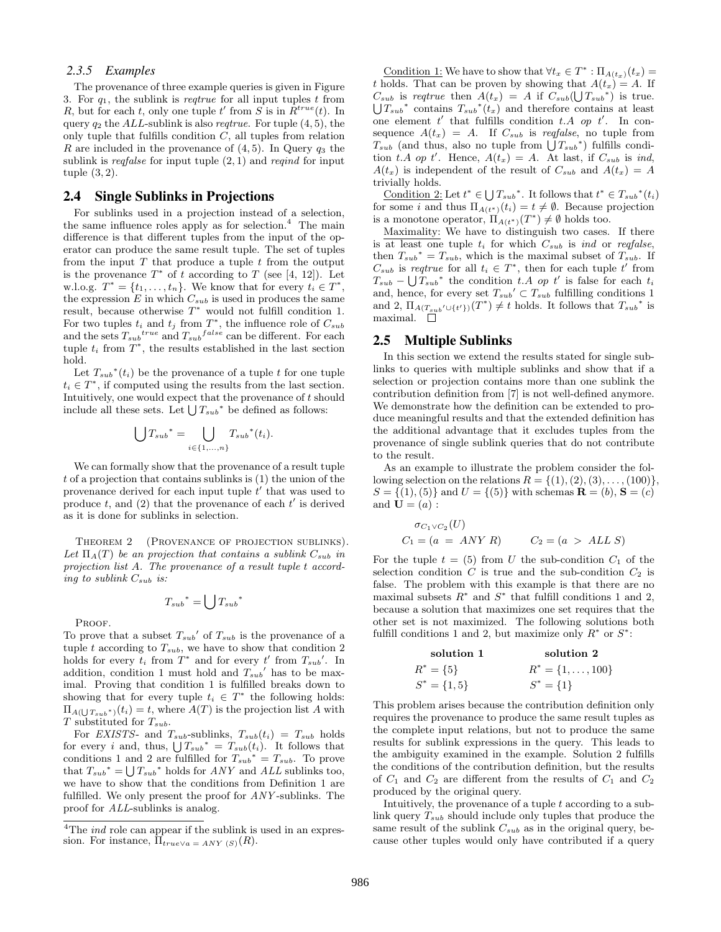## *2.3.5 Examples*

The provenance of three example queries is given in Figure 3. For  $q_1$ , the sublink is *reqtrue* for all input tuples t from R, but for each t, only one tuple t' from S is in  $R^{true}(t)$ . In query  $q_2$  the ALL-sublink is also reqtrue. For tuple  $(4, 5)$ , the only tuple that fulfills condition  $C$ , all tuples from relation R are included in the provenance of  $(4, 5)$ . In Query  $q_3$  the sublink is *reqfalse* for input tuple  $(2, 1)$  and *reqind* for input tuple (3, 2).

## 2.4 Single Sublinks in Projections

For sublinks used in a projection instead of a selection, the same influence roles apply as for selection. $4$  The main difference is that different tuples from the input of the operator can produce the same result tuple. The set of tuples from the input  $T$  that produce a tuple  $t$  from the output is the provenance  $T^*$  of t according to T (see [4, 12]). Let w.l.o.g.  $T^* = \{t_1, \ldots, t_n\}$ . We know that for every  $t_i \in T^*$ , the expression  $E$  in which  $C_{sub}$  is used in produces the same result, because otherwise  $T^*$  would not fulfill condition 1. For two tuples  $t_i$  and  $t_j$  from  $T^*$ , the influence role of  $C_{sub}$ and the sets  $T_{sub}^{true}$  and  $T_{sub}^{false}$  can be different. For each tuple  $t_i$  from  $T^*$ , the results established in the last section hold.

Let  $T_{sub}^*(t_i)$  be the provenance of a tuple t for one tuple  $t_i \in T^*$ , if computed using the results from the last section. Intuitively, one would expect that the provenance of t should include all these sets. Let  $\bigcup T_{sub}^*$  be defined as follows:

$$
\bigcup T_{sub}^* = \bigcup_{i \in \{1, ..., n\}} T_{sub}^*(t_i).
$$

We can formally show that the provenance of a result tuple  $t$  of a projection that contains sublinks is  $(1)$  the union of the provenance derived for each input tuple  $t'$  that was used to produce  $t$ , and (2) that the provenance of each  $t'$  is derived as it is done for sublinks in selection.

Theorem 2 (Provenance of projection sublinks). Let  $\Pi_A(T)$  be an projection that contains a sublink  $C_{sub}$  in projection list A. The provenance of a result tuple t according to sublink  $C_{sub}$  is:

$$
T_{sub}^* = \left( \int T_{sub}^* \right)
$$

PROOF.

To prove that a subset  $T_{sub}$  of  $T_{sub}$  is the provenance of a tuple t according to  $T_{sub}$ , we have to show that condition 2 holds for every  $t_i$  from  $T^*$  and for every  $t'$  from  $T_{sub}'$ . In addition, condition 1 must hold and  $T_{sub}$ <sup>'</sup> has to be maximal. Proving that condition 1 is fulfilled breaks down to showing that for every tuple  $t_i \in T^*$  the following holds:  $\Pi_{A(\bigcup T_{sub^*})(t_i)} = t$ , where  $A(T)$  is the projection list A with  $T$  substituted for  $T_{sub}$ .

For EXISTS- and  $T_{sub}$ -sublinks,  $T_{sub}(t_i) = T_{sub}$  holds for every *i* and, thus,  $\bigcup T_{sub}^* = T_{sub}(t_i)$ . It follows that conditions 1 and 2 are fulfilled for  $T_{sub}^* = T_{sub}$ . To prove that  $T_{sub}^* = \bigcup T_{sub}^*$  holds for ANY and ALL sublinks too, we have to show that the conditions from Definition 1 are fulfilled. We only present the proof for ANY -sublinks. The proof for ALL-sublinks is analog.

Condition 1: We have to show that  $\forall t_x \in T^* : \Pi_{A(t_x)}(t_x) =$ t holds. That can be proven by showing that  $A(t_x) = A$ . If  $C_{sub}$  is reqtrue then  $A(t_x) = A$  if  $C_{sub}(\bigcup T_{sub}^*)$  is true.  $\bigcup T_{sub}^*$  contains  $T_{sub}^*(t_x)$  and therefore contains at least one element  $t'$  that fulfills condition  $t.A$  op  $t'$ . In consequence  $A(t_x) = A$ . If  $C_{sub}$  is regfalse, no tuple from  $T_{sub}$  (and thus, also no tuple from  $\overline{U}T_{sub}^*$ ) fulfills condition t.A op t'. Hence,  $A(t_x) = A$ . At last, if  $C_{sub}$  is ind,  $A(t_x)$  is independent of the result of  $C_{sub}$  and  $A(t_x) = A$ trivially holds.

Condition 2: Let  $t^* \in \bigcup T_{sub}^*$ . It follows that  $t^* \in T_{sub}^*(t_i)$ for some i and thus  $\Pi_{A(t^*)}(t_i) = t \neq \emptyset$ . Because projection is a monotone operator,  $\Pi_{A(t^*)}(T^*) \neq \emptyset$  holds too.

Maximality: We have to distinguish two cases. If there is at least one tuple  $t_i$  for which  $C_{sub}$  is ind or regfalse, then  $T_{sub}^* = T_{sub}$ , which is the maximal subset of  $T_{sub}$ . If  $C_{sub}$  is reqtrue for all  $t_i \in T^*$ , then for each tuple t' from  $T_{sub} - \bigcup T_{sub}^*$  the condition t.A op t' is false for each  $t_i$ and, hence, for every set  $T_{sub}' \subset T_{sub}$  fulfilling conditions 1 and 2,  $\Pi_{A(T_{sub} \cup \{t'\})}(T^*) \neq t$  holds. It follows that  $T_{sub}^*$  is maximal.

## 2.5 Multiple Sublinks

In this section we extend the results stated for single sublinks to queries with multiple sublinks and show that if a selection or projection contains more than one sublink the contribution definition from [7] is not well-defined anymore. We demonstrate how the definition can be extended to produce meaningful results and that the extended definition has the additional advantage that it excludes tuples from the provenance of single sublink queries that do not contribute to the result.

As an example to illustrate the problem consider the following selection on the relations  $R = \{(1), (2), (3), \ldots, (100)\}\,$  $S = \{(1), (5)\}\$ and  $U = \{(5)\}\$ with schemas  $\mathbf{R} = (b), \mathbf{S} = (c)$ and  $\mathbf{U} = (a)$ :

$$
\sigma_{C_1 \vee C_2}(U)
$$
  
\n
$$
C_1 = (a = ANY R) \qquad C_2 = (a > ALL S)
$$

For the tuple  $t = (5)$  from U the sub-condition  $C_1$  of the selection condition  $C$  is true and the sub-condition  $C_2$  is false. The problem with this example is that there are no maximal subsets  $R^*$  and  $S^*$  that fulfill conditions 1 and 2, because a solution that maximizes one set requires that the other set is not maximized. The following solutions both fulfill conditions 1 and 2, but maximize only  $R^*$  or  $S^*$ :

| solution 1       | solution 2              |
|------------------|-------------------------|
| $R^* = \{5\}$    | $R^* = \{1, ..., 100\}$ |
| $S^* = \{1, 5\}$ | $S^* = \{1\}$           |

This problem arises because the contribution definition only requires the provenance to produce the same result tuples as the complete input relations, but not to produce the same results for sublink expressions in the query. This leads to the ambiguity examined in the example. Solution 2 fulfills the conditions of the contribution definition, but the results of  $C_1$  and  $C_2$  are different from the results of  $C_1$  and  $C_2$ produced by the original query.

Intuitively, the provenance of a tuple  $t$  according to a sublink query  $T_{sub}$  should include only tuples that produce the same result of the sublink  $C_{sub}$  as in the original query, because other tuples would only have contributed if a query

<sup>&</sup>lt;sup>4</sup>The *ind* role can appear if the sublink is used in an expression. For instance,  $\Pi_{true\vee a = ANY(S)}(R)$ .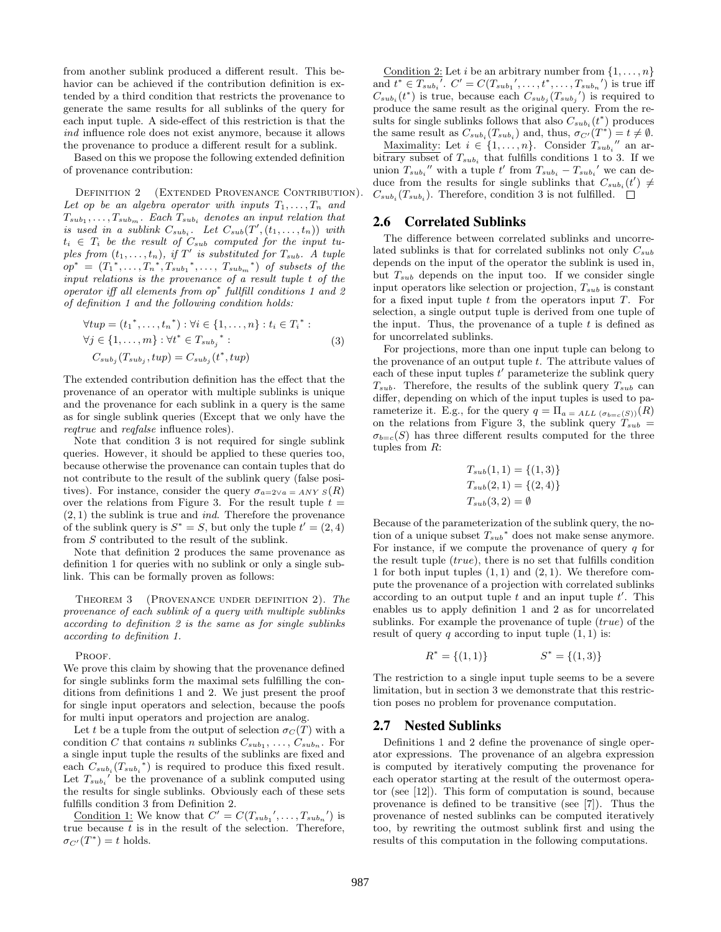from another sublink produced a different result. This behavior can be achieved if the contribution definition is extended by a third condition that restricts the provenance to generate the same results for all sublinks of the query for each input tuple. A side-effect of this restriction is that the ind influence role does not exist anymore, because it allows the provenance to produce a different result for a sublink.

Based on this we propose the following extended definition of provenance contribution:

DEFINITION 2 (EXTENDED PROVENANCE CONTRIBUTION). Let op be an algebra operator with inputs  $T_1, \ldots, T_n$  and  $T_{sub1}, \ldots, T_{subm}$ . Each  $T_{subi}$  denotes an input relation that is used in a sublink  $C_{sub_i}$ . Let  $C_{sub}(T', (t_1, \ldots, t_n))$  with  $t_i \in T_i$  be the result of  $C_{sub}$  computed for the input tuples from  $(t_1, \ldots, t_n)$ , if T' is substituted for  $T_{sub}$ . A tuple  $\delta p^* \;=\; (T_1{}^*,\ldots,T_n{}^*,T_{sub_1}{}^*,\ldots,\;T_{sub_m}{}^*) \;\; of \; subsets \;\; of \;\; the \;\; \{F_1{}^*,\ldots,F_n{}^*,T_{sub_n}{}^*,\ldots,T_n{}^*,\; F_{sub_m}{}^* \}$ input relations is the provenance of a result tuple t of the operator iff all elements from op<sup>∗</sup> fullfill conditions 1 and 2 of definition 1 and the following condition holds:

$$
\forall tup = (t_1^*, \dots, t_n^*) : \forall i \in \{1, \dots, n\} : t_i \in T_i^* :
$$
  

$$
\forall j \in \{1, \dots, m\} : \forall t^* \in T_{subj}^* :
$$
  

$$
C_{subj}(T_{subj}, tup) = C_{subj}(t^*, tup)
$$
 (3)

The extended contribution definition has the effect that the provenance of an operator with multiple sublinks is unique and the provenance for each sublink in a query is the same as for single sublink queries (Except that we only have the reqtrue and reqfalse influence roles).

Note that condition 3 is not required for single sublink queries. However, it should be applied to these queries too, because otherwise the provenance can contain tuples that do not contribute to the result of the sublink query (false positives). For instance, consider the query  $\sigma_{a=2\vee a = \text{ANY }S}(R)$ over the relations from Figure 3. For the result tuple  $t =$  $(2, 1)$  the sublink is true and *ind*. Therefore the provenance of the sublink query is  $S^* = S$ , but only the tuple  $t' = (2, 4)$ from S contributed to the result of the sublink.

Note that definition 2 produces the same provenance as definition 1 for queries with no sublink or only a single sublink. This can be formally proven as follows:

Theorem 3 (Provenance under definition 2). The provenance of each sublink of a query with multiple sublinks according to definition 2 is the same as for single sublinks according to definition 1.

PROOF.

We prove this claim by showing that the provenance defined for single sublinks form the maximal sets fulfilling the conditions from definitions 1 and 2. We just present the proof for single input operators and selection, because the poofs for multi input operators and projection are analog.

Let t be a tuple from the output of selection  $\sigma_C(T)$  with a condition C that contains n sublinks  $C_{sub_1}, \ldots, C_{sub_n}$ . For a single input tuple the results of the sublinks are fixed and each  $C_{sub_i}(T_{sub_i}^*)$  is required to produce this fixed result. Let  $T_{sub_i}$  be the provenance of a sublink computed using the results for single sublinks. Obviously each of these sets fulfills condition 3 from Definition 2.

Condition 1: We know that  $C' = C(T_{sub_1}', \ldots, T_{sub_n}')$  is true because  $t$  is in the result of the selection. Therefore,  $\sigma_{C'}(T^*)=t$  holds.

Condition 2: Let i be an arbitrary number from  $\{1, \ldots, n\}$ and  $t^* \in T_{subi}$ '.  $C' = C(T_{sub1}{'}, \ldots, t^*, \ldots, T_{subn}{'})$  is true iff  $C_{sub_i}(t^*)$  is true, because each  $C_{sub_j}(T_{sub_j})$  is required to produce the same result as the original query. From the results for single sublinks follows that also  $C_{sub_i}(t^*)$  produces the same result as  $C_{sub_i}(T_{sub_i})$  and, thus,  $\sigma_{C'}(T^*) = t \neq \emptyset$ .

Maximality: Let  $i \in \{1, ..., n\}$ . Consider  $T_{sub_i}$ " an arbitrary subset of  $T_{sub_i}$  that fulfills conditions 1 to 3. If we union  $T_{sub_i}$ " with a tuple t' from  $T_{sub_i} - T_{sub_i}$ ' we can deduce from the results for single sublinks that  $C_{sub_i}(t') \neq$  $C_{sub_i}(T_{sub_i})$ . Therefore, condition 3 is not fulfilled.

## 2.6 Correlated Sublinks

The difference between correlated sublinks and uncorrelated sublinks is that for correlated sublinks not only  $C_{sub}$ depends on the input of the operator the sublink is used in, but  $T_{sub}$  depends on the input too. If we consider single input operators like selection or projection,  $T_{sub}$  is constant for a fixed input tuple  $t$  from the operators input  $T$ . For selection, a single output tuple is derived from one tuple of the input. Thus, the provenance of a tuple  $t$  is defined as for uncorrelated sublinks.

For projections, more than one input tuple can belong to the provenance of an output tuple  $t$ . The attribute values of each of these input tuples  $t'$  parameterize the sublink query  $T_{sub}$ . Therefore, the results of the sublink query  $T_{sub}$  can differ, depending on which of the input tuples is used to parameterize it. E.g., for the query  $q = \prod_{a = ALL} \frac{1}{(\sigma_{b=c}(S))}(R)$ on the relations from Figure 3, the sublink query  $T_{sub}$  =  $\sigma_{b=c}(S)$  has three different results computed for the three tuples from  $R$ :

$$
T_{sub}(1, 1) = \{(1, 3)\}
$$
  

$$
T_{sub}(2, 1) = \{(2, 4)\}
$$
  

$$
T_{sub}(3, 2) = \emptyset
$$

Because of the parameterization of the sublink query, the notion of a unique subset  $T_{sub}^*$  does not make sense anymore. For instance, if we compute the provenance of query  $q$  for the result tuple  $(true)$ , there is no set that fulfills condition 1 for both input tuples  $(1, 1)$  and  $(2, 1)$ . We therefore compute the provenance of a projection with correlated sublinks according to an output tuple  $t$  and an input tuple  $t'$ . This enables us to apply definition 1 and 2 as for uncorrelated sublinks. For example the provenance of tuple  $(true)$  of the result of query q according to input tuple  $(1, 1)$  is:

$$
R^* = \{(1,1)\}\qquad \qquad S^* = \{(1,3)\}\
$$

The restriction to a single input tuple seems to be a severe limitation, but in section 3 we demonstrate that this restriction poses no problem for provenance computation.

## 2.7 Nested Sublinks

Definitions 1 and 2 define the provenance of single operator expressions. The provenance of an algebra expression is computed by iteratively computing the provenance for each operator starting at the result of the outermost operator (see [12]). This form of computation is sound, because provenance is defined to be transitive (see [7]). Thus the provenance of nested sublinks can be computed iteratively too, by rewriting the outmost sublink first and using the results of this computation in the following computations.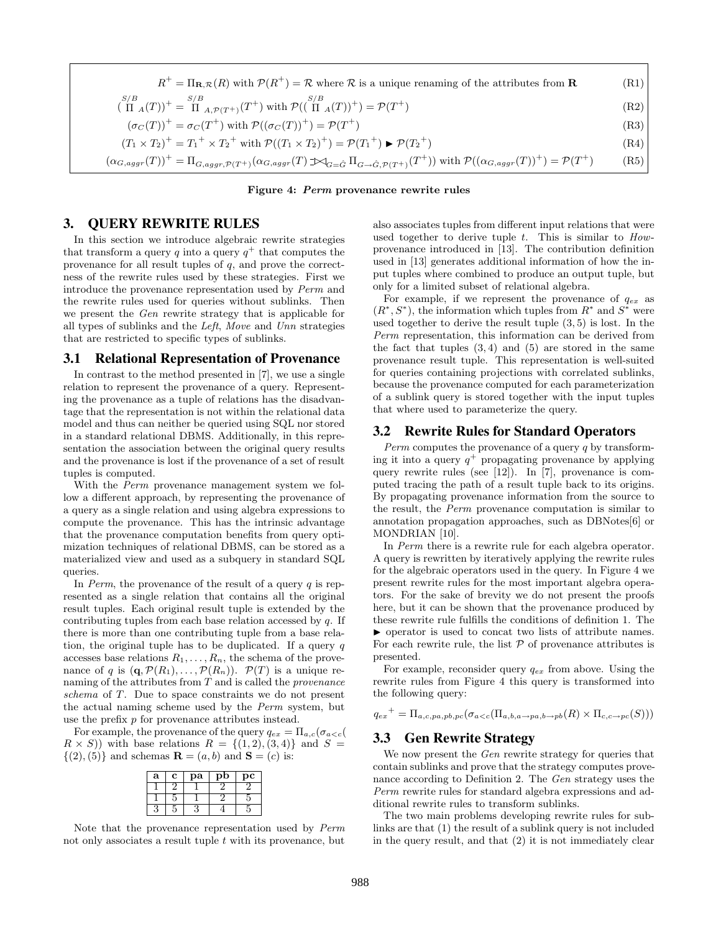$$
R^{+} = \Pi_{\mathbf{R}, \mathcal{R}}(R) \text{ with } \mathcal{P}(R^{+}) = \mathcal{R} \text{ where } \mathcal{R} \text{ is a unique renaming of the attributes from } \mathbf{R}
$$
\n
$$
\begin{pmatrix}\nS/B \\
\Pi_A(T)\end{pmatrix}^{+} = \begin{pmatrix}\nS/B \\
\Pi_{A, \mathcal{P}(T^{+})}(T^{+})\end{pmatrix} \text{ with } \mathcal{P}((\Pi_A(T))^{+}) = \mathcal{P}(T^{+})
$$
\n
$$
(\sigma_C(T))^{+} = \sigma_C(T^{+}) \text{ with } \mathcal{P}((\sigma_C(T))^{+}) = \mathcal{P}(T^{+})
$$
\n
$$
(T_1 \times T_2)^{+} = T_1^{+} \times T_2^{+} \text{ with } \mathcal{P}((T_1 \times T_2)^{+}) = \mathcal{P}(T_1^{+}) \blacktriangleright \mathcal{P}(T_2^{+})
$$
\n
$$
(\alpha_{G,aggr}(T))^{+} = \Pi_{G,aggr, \mathcal{P}(T^{+})}(\alpha_{G,aggr}(T) \implies \forall_{G = \hat{G}} \Pi_{G \to \hat{G}, \mathcal{P}(T^{+})}(T^{+})) \text{ with } \mathcal{P}((\alpha_{G,aggr}(T))^{+}) = \mathcal{P}(T^{+})
$$
\n
$$
(R3)
$$
\n
$$
\begin{pmatrix}\n\alpha_{G,aggr}(T) & \alpha_{G,aggr}(T) & \alpha_{G,aggr}(T) \\
\vdots & \vdots & \vdots \\
\alpha_{G,aggr}(T) & \alpha_{G,aggr}(T) & \alpha_{G,aggr}(T) & \alpha_{G,aggr}(T) \\
\vdots & \vdots & \vdots \\
\alpha_{G,aggr}(T) & \alpha_{G,aggr}(T) & \alpha_{G,aggr}(T) & \alpha_{G,aggr}(T) & \alpha_{G,aggr}(T)\n\end{pmatrix}
$$

#### Figure 4: Perm provenance rewrite rules

## 3. QUERY REWRITE RULES

In this section we introduce algebraic rewrite strategies that transform a query q into a query  $q^+$  that computes the provenance for all result tuples of q, and prove the correctness of the rewrite rules used by these strategies. First we introduce the provenance representation used by Perm and the rewrite rules used for queries without sublinks. Then we present the Gen rewrite strategy that is applicable for all types of sublinks and the Left, Move and Unn strategies that are restricted to specific types of sublinks.

#### 3.1 Relational Representation of Provenance

In contrast to the method presented in [7], we use a single relation to represent the provenance of a query. Representing the provenance as a tuple of relations has the disadvantage that the representation is not within the relational data model and thus can neither be queried using SQL nor stored in a standard relational DBMS. Additionally, in this representation the association between the original query results and the provenance is lost if the provenance of a set of result tuples is computed.

With the Perm provenance management system we follow a different approach, by representing the provenance of a query as a single relation and using algebra expressions to compute the provenance. This has the intrinsic advantage that the provenance computation benefits from query optimization techniques of relational DBMS, can be stored as a materialized view and used as a subquery in standard SQL queries.

In Perm, the provenance of the result of a query  $q$  is represented as a single relation that contains all the original result tuples. Each original result tuple is extended by the contributing tuples from each base relation accessed by  $q$ . If there is more than one contributing tuple from a base relation, the original tuple has to be duplicated. If a query  $q$ accesses base relations  $R_1, \ldots, R_n$ , the schema of the provenance of q is  $(\mathbf{q}, \mathcal{P}(R_1), \ldots, \mathcal{P}(R_n))$ .  $\mathcal{P}(T)$  is a unique renaming of the attributes from T and is called the *provenance* schema of T. Due to space constraints we do not present the actual naming scheme used by the Perm system, but use the prefix  $p$  for provenance attributes instead.

For example, the provenance of the query  $q_{ex} = \Pi_{a,c}(\sigma_{a$  $R \times S$ ) with base relations  $R = \{(1, 2), (3, 4)\}\$ and  $S =$  $\{(2), (5)\}\$ and schemas  $\mathbf{R} = (a, b)$  and  $\mathbf{S} = (c)$  is:

| a | с  | рa | рb | DС |
|---|----|----|----|----|
|   |    |    |    |    |
|   | i. |    |    |    |
|   |    |    |    |    |

Note that the provenance representation used by Perm not only associates a result tuple  $t$  with its provenance, but

also associates tuples from different input relations that were used together to derive tuple  $t$ . This is similar to  $How$ provenance introduced in [13]. The contribution definition used in [13] generates additional information of how the input tuples where combined to produce an output tuple, but only for a limited subset of relational algebra.

For example, if we represent the provenance of  $q_{ex}$  as  $(R^*, S^*)$ , the information which tuples from  $R^*$  and  $S^*$  were used together to derive the result tuple (3, 5) is lost. In the Perm representation, this information can be derived from the fact that tuples  $(3, 4)$  and  $(5)$  are stored in the same provenance result tuple. This representation is well-suited for queries containing projections with correlated sublinks, because the provenance computed for each parameterization of a sublink query is stored together with the input tuples that where used to parameterize the query.

#### 3.2 Rewrite Rules for Standard Operators

Perm computes the provenance of a query  $q$  by transforming it into a query  $q^+$  propagating provenance by applying query rewrite rules (see [12]). In [7], provenance is computed tracing the path of a result tuple back to its origins. By propagating provenance information from the source to the result, the Perm provenance computation is similar to annotation propagation approaches, such as DBNotes[6] or MONDRIAN [10].

In *Perm* there is a rewrite rule for each algebra operator. A query is rewritten by iteratively applying the rewrite rules for the algebraic operators used in the query. In Figure 4 we present rewrite rules for the most important algebra operators. For the sake of brevity we do not present the proofs here, but it can be shown that the provenance produced by these rewrite rule fulfills the conditions of definition 1. The  $\triangleright$  operator is used to concat two lists of attribute names. For each rewrite rule, the list  $P$  of provenance attributes is presented.

For example, reconsider query  $q_{ex}$  from above. Using the rewrite rules from Figure 4 this query is transformed into the following query:

$$
q_{ex}^{\dagger} = \Pi_{a,c,pa,pb,pc}(\sigma_{a
$$

## 3.3 Gen Rewrite Strategy

We now present the Gen rewrite strategy for queries that contain sublinks and prove that the strategy computes provenance according to Definition 2. The Gen strategy uses the Perm rewrite rules for standard algebra expressions and additional rewrite rules to transform sublinks.

The two main problems developing rewrite rules for sublinks are that (1) the result of a sublink query is not included in the query result, and that (2) it is not immediately clear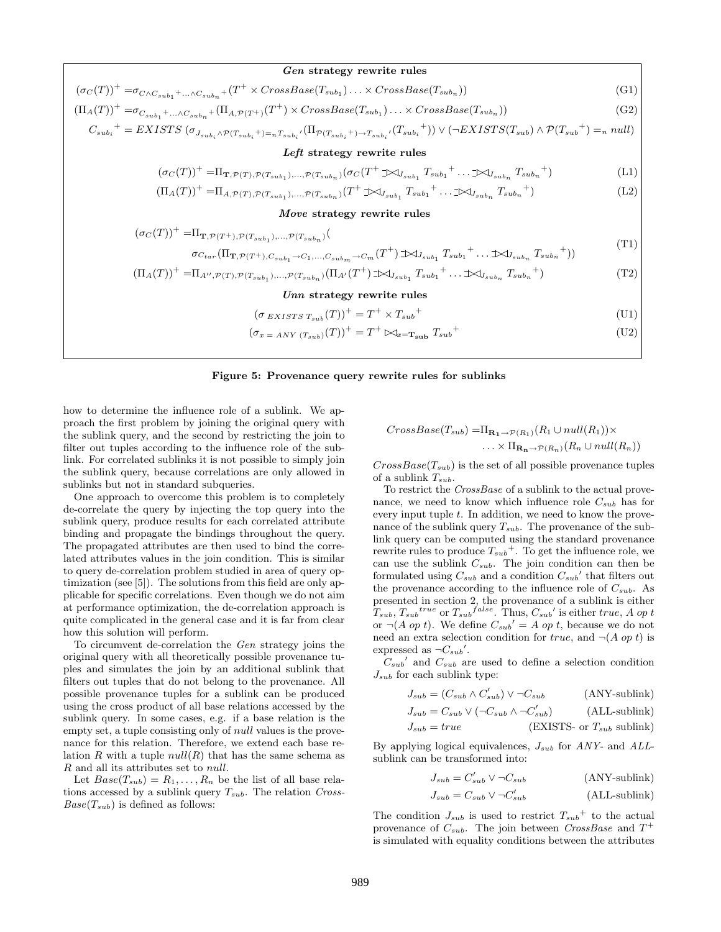Gen strategy rewrite rules  $(\sigma_C(T))^+ = \sigma_{C \wedge C_{sub_1} + \dots \wedge C_{sub_n}} + (T^+ \times CrossBase(T_{sub_1}) \dots \times CrossBase(T_{sub_n}))$  (G1)  $(\Pi_A(T))^+ = \sigma_{C_{sub_1}} + ... \wedge C_{sub_n} + (\Pi_{A, \mathcal{P}(T^+)}(T^+) \times CrossBase(T_{sub_1}) \dots \times CrossBase(T_{sub_n}))$  (G2)  $C_{subi}^+ = EXISTS \left(\sigma_{J_{subi} \wedge \mathcal{P}(T_{subi}^+) = nT_{subi}'}(\Pi_{\mathcal{P}(T_{subi}^+) \rightarrow T_{subi}'}(T_{subi}^+) \right) \vee (\neg EXISTS(T_{sub}) \wedge \mathcal{P}(T_{sub}^+) = n \ null)$ Left strategy rewrite rules  $(\sigma_C(T))^+ = \Pi_{\mathbf{T}, \mathcal{P}(T), \mathcal{P}(T_{sub_1}), \dots, \mathcal{P}(T_{sub_n})} (\sigma_C(T^+ \pm A_{J_{sub_1}} T_{sub_1}^+, \dots \pm A_{J_{sub_n}} T_{sub_n}^+,$  $(L1)$  $(\Pi_A(T))^+ = \Pi_{A, \mathcal{P}(T), \mathcal{P}(T_{sub_1}), \dots, \mathcal{P}(T_{sub_n})} (T^+ \not\supset_{J_{sub_1}} T_{sub_1}^+, \dots \not\supset_{J_{sub_n}} T_{sub_n}^+$  $(L2)$ Move strategy rewrite rules  $(\sigma_C(T))^+ = \Pi_{\mathbf{T}, \mathcal{P}(T^+), \mathcal{P}(T_{sub_1}), \dots, \mathcal{P}(T_{sub_n})}$  $\sigma_{C_{tar}}(\Pi_{\mathbf{T}, \mathcal{P}(T^+) , C_{sub1} \to C_1, ..., C_{subm} \to C_m}(T^+) \mathbb{1} \mathcal{A}_{J_{sub1}} T_{sub1}^{\;\; +} \dots \mathbb{1} \mathcal{A}_{J_{subn}} T_{subn}^{\;\; +}))$ (T1)  $(\Pi_A(T))^+ = \Pi_{A'',\mathcal{P}(T),\mathcal{P}(T_{sub_1}),...,\mathcal{P}(T_{sub_n})}(\Pi_{A'}(T^+) \supseteq_{J_{sub_1}} T_{sub_1}^+,... \supseteq_{J_{sub_n}} T_{sub_n}^+$  $(T2)$ Unn strategy rewrite rules  $(\sigma_{EXISTS\;T_{sub}}(T))^+ = T^+ \times T_{sub}^+$ (U1)  $(\sigma_{x = \text{ANY } (T_{sub})}(T))^+ = T^+ \Join_{x = \text{Taylor } T_{sub}} T_{sub}^+$ (U2)

#### Figure 5: Provenance query rewrite rules for sublinks

how to determine the influence role of a sublink. We approach the first problem by joining the original query with the sublink query, and the second by restricting the join to filter out tuples according to the influence role of the sublink. For correlated sublinks it is not possible to simply join the sublink query, because correlations are only allowed in sublinks but not in standard subqueries.

One approach to overcome this problem is to completely de-correlate the query by injecting the top query into the sublink query, produce results for each correlated attribute binding and propagate the bindings throughout the query. The propagated attributes are then used to bind the correlated attributes values in the join condition. This is similar to query de-correlation problem studied in area of query optimization (see [5]). The solutions from this field are only applicable for specific correlations. Even though we do not aim at performance optimization, the de-correlation approach is quite complicated in the general case and it is far from clear how this solution will perform.

To circumvent de-correlation the Gen strategy joins the original query with all theoretically possible provenance tuples and simulates the join by an additional sublink that filters out tuples that do not belong to the provenance. All possible provenance tuples for a sublink can be produced using the cross product of all base relations accessed by the sublink query. In some cases, e.g. if a base relation is the empty set, a tuple consisting only of null values is the provenance for this relation. Therefore, we extend each base relation R with a tuple  $null(R)$  that has the same schema as R and all its attributes set to null.

Let  $Base(T_{sub}) = R_1, \ldots, R_n$  be the list of all base relations accessed by a sublink query  $T_{sub}$ . The relation *Cross*- $Base(T_{sub})$  is defined as follows:

$$
CrossBase(T_{sub}) = \Pi_{\mathbf{R_1} \to \mathcal{P}(R_1)}(R_1 \cup null(R_1)) \times \dots \times \Pi_{\mathbf{R_n} \to \mathcal{P}(R_n)}(R_n \cup null(R_n))
$$

 $CrossBase(T_{sub})$  is the set of all possible provenance tuples of a sublink  $T_{sub}$ .

To restrict the CrossBase of a sublink to the actual provenance, we need to know which influence role  $C_{sub}$  has for every input tuple  $t$ . In addition, we need to know the provenance of the sublink query  $T_{sub}$ . The provenance of the sublink query can be computed using the standard provenance rewrite rules to produce  $T_{sub}^+$ . To get the influence role, we can use the sublink  $C_{sub}$ . The join condition can then be formulated using  $C_{sub}$  and a condition  $C_{sub}$ <sup>'</sup> that filters out the provenance according to the influence role of  $C_{sub}$ . As presented in section 2, the provenance of a sublink is either  $T_{sub}$ ,  $T_{sub}$ <sup>true</sup> or  $T_{sub}$ <sup>false</sup>. Thus,  $C_{sub}$ <sup>'</sup> is either true, A op t or  $\neg(A op t)$ . We define  $C_{sub}^{\prime} = A op t$ , because we do not need an extra selection condition for true, and  $\neg(A \text{ op } t)$  is expressed as  $\neg C_{sub}$ .

 $C_{sub}$ <sup>'</sup> and  $C_{sub}$  are used to define a selection condition  $J_{sub}$  for each sublink type:

$$
J_{sub} = (C_{sub} \wedge C'_{sub}) \vee \neg C_{sub}
$$
 (ANY-sublink)

$$
J_{sub} = C_{sub} \vee (\neg C_{sub} \wedge \neg C'_{sub})
$$
 (ALL-sublink)

$$
J_{sub} = true
$$
 (EXISTS- or  $T_{sub}$  sublink)

By applying logical equivalences,  $J_{sub}$  for ANY- and ALLsublink can be transformed into:

$$
J_{sub} = C'_{sub} \vee \neg C_{sub}
$$
 (ANY-sublink)

$$
J_{sub} = C_{sub} \vee \neg C'_{sub}
$$
 (ALL-sublink)

The condition  $J_{sub}$  is used to restrict  $T_{sub}^+$  to the actual provenance of  $C_{sub}$ . The join between  $CrossBase$  and  $T^+$ is simulated with equality conditions between the attributes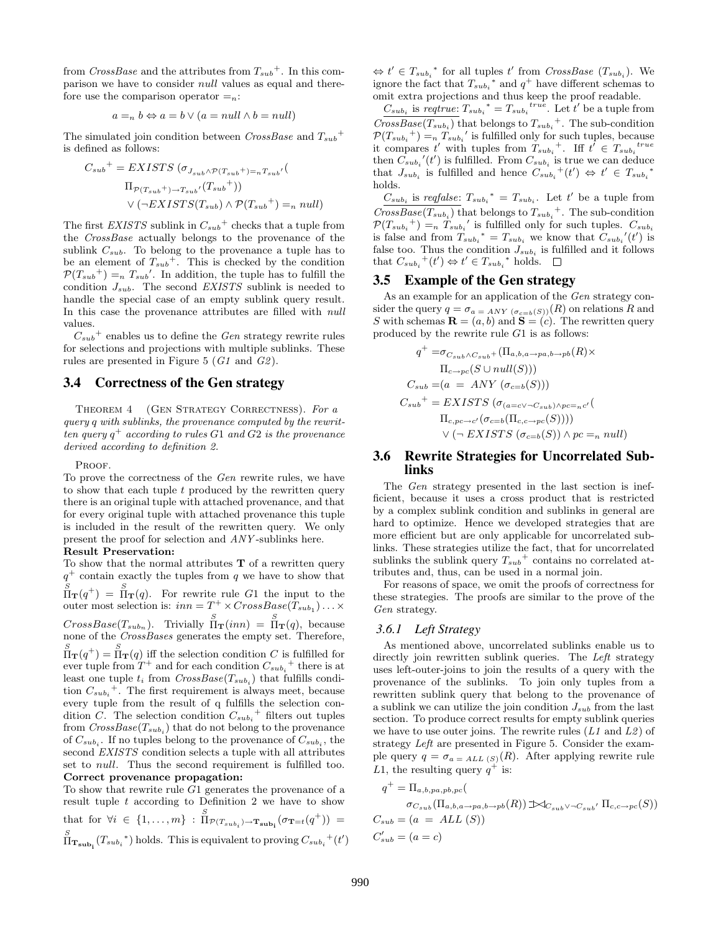from *CrossBase* and the attributes from  $T_{sub}^+$ . In this comparison we have to consider null values as equal and therefore use the comparison operator  $=_n$ :

$$
a =_n b \Leftrightarrow a = b \lor (a = null \land b = null)
$$

The simulated join condition between CrossBase and  $T_{sub}$ <sup>+</sup> is defined as follows:

$$
C_{sub}^{+} = EXISTS \left(\sigma_{J_{sub} \wedge \mathcal{P}(T_{sub}^{+})=n T_{sub}'}(
$$

$$
\Pi_{\mathcal{P}(T_{sub}^{+})\rightarrow T_{sub}'}(T_{sub}^{+})\right)
$$

$$
\vee \left(\neg EXISTS(T_{sub}) \wedge \mathcal{P}(T_{sub}^{+})=n \text{ null}\right)
$$

The first EXISTS sublink in  $C_{sub}^+$  checks that a tuple from the CrossBase actually belongs to the provenance of the sublink  $C_{sub}$ . To belong to the provenance a tuple has to be an element of  $T_{sub}^+$ . This is checked by the condition  $\mathcal{P}(T_{sub}^+) =_n T_{sub}^{\prime}$ . In addition, the tuple has to fulfill the condition  $J_{sub}$ . The second EXISTS sublink is needed to handle the special case of an empty sublink query result. In this case the provenance attributes are filled with null values.

 $C_{sub}^+$  enables us to define the Gen strategy rewrite rules for selections and projections with multiple sublinks. These rules are presented in Figure 5 ( $G1$  and  $G2$ ).

## 3.4 Correctness of the Gen strategy

THEOREM 4 (GEN STRATEGY CORRECTNESS). For a query q with sublinks, the provenance computed by the rewritten query  $q^+$  according to rules G1 and G2 is the provenance derived according to definition 2.

#### PROOF.

To prove the correctness of the Gen rewrite rules, we have to show that each tuple  $t$  produced by the rewritten query there is an original tuple with attached provenance, and that for every original tuple with attached provenance this tuple is included in the result of the rewritten query. We only present the proof for selection and ANY -sublinks here.

#### Result Preservation:

To show that the normal attributes  $T$  of a rewritten query  $q^+$  contain exactly the tuples from q we have to show that  $\prod_{\mathbf{T}}^{S}(q^+) = \prod_{\mathbf{T}}^{S}(q)$ . For rewrite rule G1 the input to the outer most selection is:  $inn = T^+ \times CrossBase(T_{sub_1}) \dots \times$  $CrossBase(T_{subn})$ . Trivially  $\prod_{\mathbf{T}}^{S}(inn) = \prod_{\mathbf{T}}^{S}(q)$ , because none of the *CrossBases* generates the empty set. Therefore,  $I_{\text{II}\text{T}}(q^+) = \Pi_{\text{II}\text{T}}(q)$  iff the selection condition C is fulfilled for ever tuple from  $T^+$  and for each condition  $C_{sub_i}^+$  there is at least one tuple  $t_i$  from  $CrossBase(T_{sub_i})$  that fulfills condition  $C_{sub_i}$ <sup>+</sup>. The first requirement is always meet, because every tuple from the result of q fulfills the selection condition C. The selection condition  $C_{subi}$ <sup>+</sup> filters out tuples from  $CrossBase(T_{sub_i})$  that do not belong to the provenance of  $C_{sub_i}$ . If no tuples belong to the provenance of  $C_{sub_i}$ , the second EXISTS condition selects a tuple with all attributes set to *null*. Thus the second requirement is fulfilled too. Correct provenance propagation:

To show that rewrite rule G1 generates the provenance of a result tuple  $t$  according to Definition 2 we have to show

that for 
$$
\forall i \in \{1, ..., m\}
$$
 :  $\prod_{\mathcal{P}(T_{sub_i}) \to \mathbf{T}_{sub_i}} (\sigma_{\mathbf{T} = t}(q^+)) = \prod_{\mathbf{T}_{sub_i}} (T_{sub_i}^*)$  holds. This is equivalent to proving  $C_{sub_i}^+(t')$ 

 $\Leftrightarrow t' \in T_{sub_i}^*$  for all tuples t' from CrossBase  $(T_{sub_i})$ . We ignore the fact that  $T_{sub_i}^*$  and  $q^+$  have different schemas to omit extra projections and thus keep the proof readable.

 $C_{sub_i}$  is reqtrue:  $T_{sub_i}^* = T_{sub_i}^{true}$ . Let t' be a tuple from  $CrossBase(T_{sub_i})$  that belongs to  $T_{sub_i}$ <sup>+</sup>. The sub-condition  $\mathcal{P}(T_{sub_i}^+) = n T_{sub_i}$ ' is fulfilled only for such tuples, because it compares t' with tuples from  $T_{sub_i}$ <sup>+</sup>. Iff  $t' \in T_{sub_i}$ <sup>true</sup> then  $\overline{C}_{sub_i}'(t')$  is fulfilled. From  $\overline{C}_{sub_i}$  is true we can deduce that  $J_{sub_i}$  is fulfilled and hence  $C_{sub_i}^{\dagger}(t') \Leftrightarrow t' \in T_{sub_i}^*$ holds.

 $C_{sub_i}$  is regfalse:  $T_{sub_i}^* = T_{sub_i}$ . Let t' be a tuple from  $CrossBase(T_{sub_i})$  that belongs to  $T_{sub_i}$ <sup>+</sup>. The sub-condition  $\mathcal{P}(T_{sub_i}^+) = n \left( T_{sub_i} \right)'$  is fulfilled only for such tuples.  $C_{sub_i}$ is false and from  $\overline{T}_{sub_i}^* = T_{sub_i}$  we know that  $C_{sub_i}'(t')$  is false too. Thus the condition  $J_{sub_i}$  is fulfilled and it follows that  $C_{sub_i}^+(t') \Leftrightarrow t' \in T_{sub_i}^*$  holds.

## 3.5 Example of the Gen strategy

As an example for an application of the Gen strategy consider the query  $q = \sigma_{a = ANY} (\sigma_{c=b}(S))(R)$  on relations R and S with schemas  $\mathbf{R} = (a, b)$  and  $\mathbf{S} = (c)$ . The rewritten query produced by the rewrite rule G1 is as follows:

$$
q^{+} = \sigma_{C_{sub} \wedge C_{sub}} + (\Pi_{a,b,a \to pa,b \to pb}(R) \times
$$
  
\n
$$
\Pi_{c \to pc}(S \cup null(S)))
$$
  
\n
$$
C_{sub} = (a = ANY (\sigma_{c=b}(S)))
$$
  
\n
$$
C_{sub}^{+} = EXISTS (\sigma_{(a=c \vee \neg C_{sub}) \wedge pc = n^{c'}}(
$$
  
\n
$$
\Pi_{c,pc \to c'} (\sigma_{c=b}(\Pi_{c,c \to pc}(S))))
$$
  
\n
$$
\vee (\neg EXISTS (\sigma_{c=b}(S)) \wedge pc =_n null)
$$

# 3.6 Rewrite Strategies for Uncorrelated Sublinks

The Gen strategy presented in the last section is inefficient, because it uses a cross product that is restricted by a complex sublink condition and sublinks in general are hard to optimize. Hence we developed strategies that are more efficient but are only applicable for uncorrelated sublinks. These strategies utilize the fact, that for uncorrelated sublinks the sublink query  $T_{sub}^+$  contains no correlated attributes and, thus, can be used in a normal join.

For reasons of space, we omit the proofs of correctness for these strategies. The proofs are similar to the prove of the Gen strategy.

## *3.6.1 Left Strategy*

As mentioned above, uncorrelated sublinks enable us to directly join rewritten sublink queries. The Left strategy uses left-outer-joins to join the results of a query with the provenance of the sublinks. To join only tuples from a rewritten sublink query that belong to the provenance of a sublink we can utilize the join condition  $J_{sub}$  from the last section. To produce correct results for empty sublink queries we have to use outer joins. The rewrite rules  $(L1 \text{ and } L2)$  of strategy Left are presented in Figure 5. Consider the example query  $q = \sigma_{a} = ALL(S)(R)$ . After applying rewrite rule L1, the resulting query  $q^+$  is:

$$
q^{+} = \Pi_{a,b,pa,pb,pc}(
$$
  
\n
$$
\sigma_{C_{sub}}(\Pi_{a,b,a\to pa,b\to pb}(R)) \mathbb{1}_{C_{sub}\vee\neg C_{sub'}} \Pi_{c,c\to pc}(S))
$$
  
\n
$$
C_{sub} = (a = ALL (S))
$$
  
\n
$$
C'_{sub} = (a = c)
$$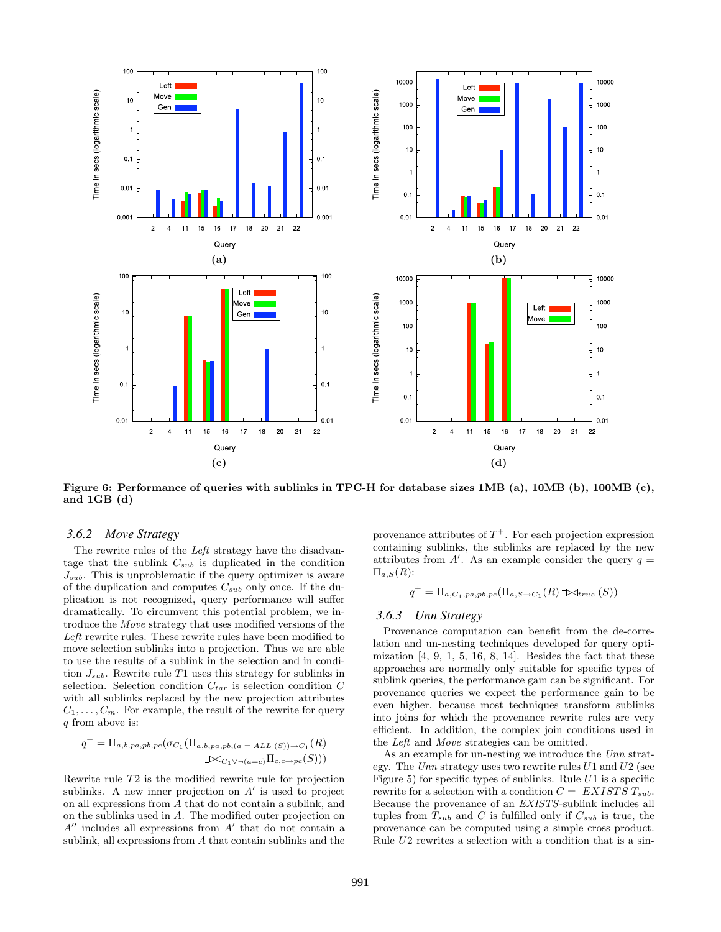

Figure 6: Performance of queries with sublinks in TPC-H for database sizes 1MB (a), 10MB (b), 100MB (c), and 1GB (d)

#### *3.6.2 Move Strategy*

The rewrite rules of the Left strategy have the disadvantage that the sublink  $C_{sub}$  is duplicated in the condition  $J_{sub}$ . This is unproblematic if the query optimizer is aware of the duplication and computes  $C_{sub}$  only once. If the duplication is not recognized, query performance will suffer dramatically. To circumvent this potential problem, we introduce the Move strategy that uses modified versions of the Left rewrite rules. These rewrite rules have been modified to move selection sublinks into a projection. Thus we are able to use the results of a sublink in the selection and in condition  $J_{sub}$ . Rewrite rule T1 uses this strategy for sublinks in selection. Selection condition  $C_{tar}$  is selection condition  $C$ with all sublinks replaced by the new projection attributes  $C_1, \ldots, C_m$ . For example, the result of the rewrite for query  $\boldsymbol{q}$  from above is:

$$
q^{+} = \Pi_{a,b,pa,pb,pc}(\sigma_{C_1}(\Pi_{a,b,pa,pb,(a = ALL (S)) \to C_1}(R))
$$
  

$$
\mathbb{C}_{C_1 \vee \neg(a=c)} \Pi_{c,c \to pc}(S)))
$$

Rewrite rule T2 is the modified rewrite rule for projection sublinks. A new inner projection on  $A'$  is used to project on all expressions from A that do not contain a sublink, and on the sublinks used in A. The modified outer projection on  $A''$  includes all expressions from  $A'$  that do not contain a sublink, all expressions from A that contain sublinks and the

provenance attributes of  $T^+$ . For each projection expression containing sublinks, the sublinks are replaced by the new attributes from  $A'$ . As an example consider the query  $q =$  $\Pi_{a,S}(R)$ :

$$
q^{+} = \Pi_{a,C_1,pa,pb,pc}(\Pi_{a,S \to C_1}(R) \mathcal{L}_{true}(S))
$$

#### *3.6.3 Unn Strategy*

Provenance computation can benefit from the de-correlation and un-nesting techniques developed for query optimization  $[4, 9, 1, 5, 16, 8, 14]$ . Besides the fact that these approaches are normally only suitable for specific types of sublink queries, the performance gain can be significant. For provenance queries we expect the performance gain to be even higher, because most techniques transform sublinks into joins for which the provenance rewrite rules are very efficient. In addition, the complex join conditions used in the Left and Move strategies can be omitted.

As an example for un-nesting we introduce the Unn strategy. The Unn strategy uses two rewrite rules  $U1$  and  $U2$  (see Figure 5) for specific types of sublinks. Rule  $U1$  is a specific rewrite for a selection with a condition  $C = EXISTS T_{sub}$ . Because the provenance of an EXISTS-sublink includes all tuples from  $T_{sub}$  and C is fulfilled only if  $C_{sub}$  is true, the provenance can be computed using a simple cross product. Rule U2 rewrites a selection with a condition that is a sin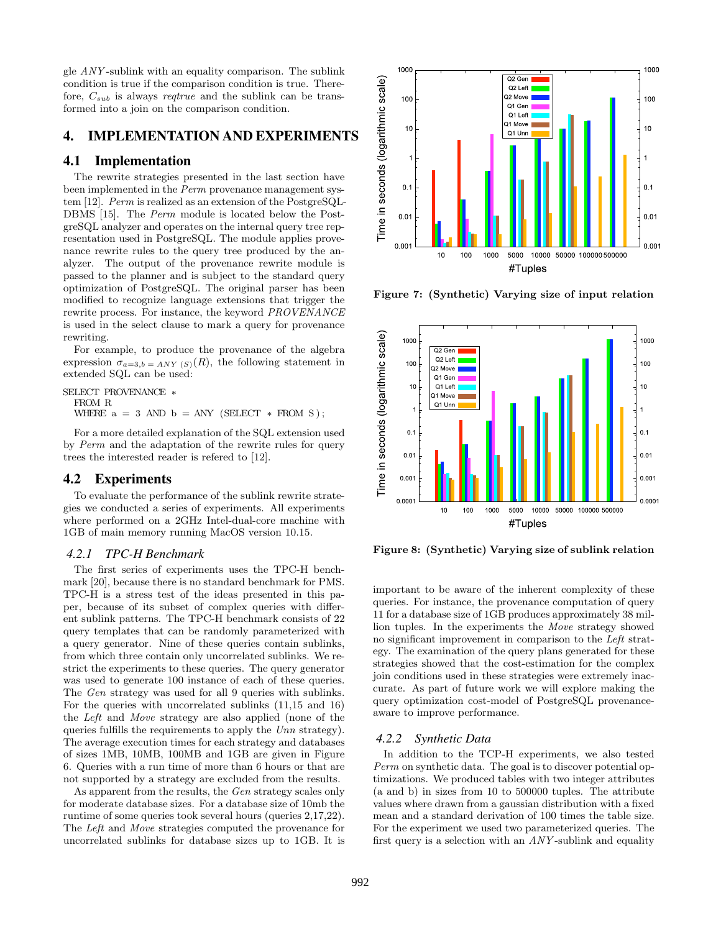gle ANY -sublink with an equality comparison. The sublink condition is true if the comparison condition is true. Therefore,  $C_{sub}$  is always *reqtrue* and the sublink can be transformed into a join on the comparison condition.

# 4. IMPLEMENTATION AND EXPERIMENTS

## 4.1 Implementation

The rewrite strategies presented in the last section have been implemented in the Perm provenance management system [12]. Perm is realized as an extension of the PostgreSQL-DBMS [15]. The Perm module is located below the PostgreSQL analyzer and operates on the internal query tree representation used in PostgreSQL. The module applies provenance rewrite rules to the query tree produced by the analyzer. The output of the provenance rewrite module is passed to the planner and is subject to the standard query optimization of PostgreSQL. The original parser has been modified to recognize language extensions that trigger the rewrite process. For instance, the keyword PROVENANCE is used in the select clause to mark a query for provenance rewriting.

For example, to produce the provenance of the algebra expression  $\sigma_{a=3,b = \text{ANY } (S)}(R)$ , the following statement in extended SQL can be used:

SELECT PROVENANCE ∗ FROM R WHERE  $a = 3$  AND  $b = ANY$  (SELECT  $*$  FROM S);

For a more detailed explanation of the SQL extension used by Perm and the adaptation of the rewrite rules for query trees the interested reader is refered to [12].

## 4.2 Experiments

To evaluate the performance of the sublink rewrite strategies we conducted a series of experiments. All experiments where performed on a 2GHz Intel-dual-core machine with 1GB of main memory running MacOS version 10.15.

#### *4.2.1 TPC-H Benchmark*

The first series of experiments uses the TPC-H benchmark [20], because there is no standard benchmark for PMS. TPC-H is a stress test of the ideas presented in this paper, because of its subset of complex queries with different sublink patterns. The TPC-H benchmark consists of 22 query templates that can be randomly parameterized with a query generator. Nine of these queries contain sublinks, from which three contain only uncorrelated sublinks. We restrict the experiments to these queries. The query generator was used to generate 100 instance of each of these queries. The Gen strategy was used for all 9 queries with sublinks. For the queries with uncorrelated sublinks (11,15 and 16) the Left and Move strategy are also applied (none of the queries fulfills the requirements to apply the Unn strategy). The average execution times for each strategy and databases of sizes 1MB, 10MB, 100MB and 1GB are given in Figure 6. Queries with a run time of more than 6 hours or that are not supported by a strategy are excluded from the results.

As apparent from the results, the Gen strategy scales only for moderate database sizes. For a database size of 10mb the runtime of some queries took several hours (queries 2,17,22). The Left and Move strategies computed the provenance for uncorrelated sublinks for database sizes up to 1GB. It is



Figure 7: (Synthetic) Varying size of input relation



Figure 8: (Synthetic) Varying size of sublink relation

important to be aware of the inherent complexity of these queries. For instance, the provenance computation of query 11 for a database size of 1GB produces approximately 38 million tuples. In the experiments the Move strategy showed no significant improvement in comparison to the Left strategy. The examination of the query plans generated for these strategies showed that the cost-estimation for the complex join conditions used in these strategies were extremely inaccurate. As part of future work we will explore making the query optimization cost-model of PostgreSQL provenanceaware to improve performance.

#### *4.2.2 Synthetic Data*

In addition to the TCP-H experiments, we also tested Perm on synthetic data. The goal is to discover potential optimizations. We produced tables with two integer attributes (a and b) in sizes from 10 to 500000 tuples. The attribute values where drawn from a gaussian distribution with a fixed mean and a standard derivation of 100 times the table size. For the experiment we used two parameterized queries. The first query is a selection with an  $ANY$ -sublink and equality